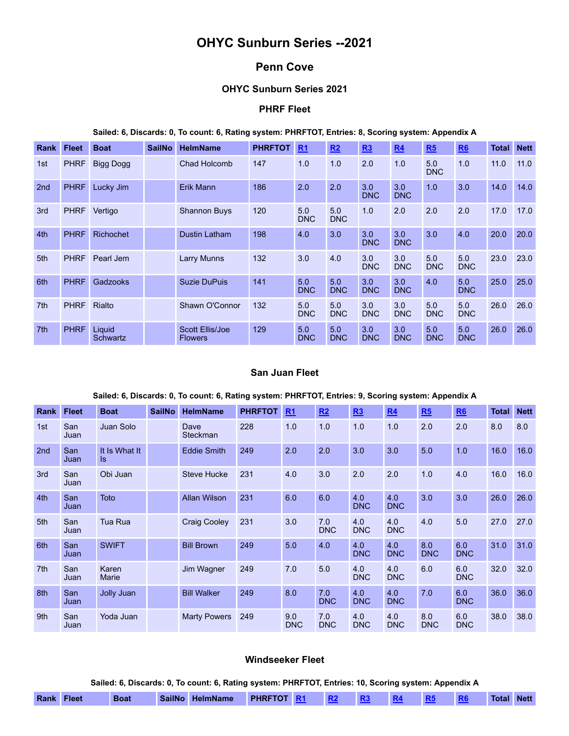# **OHYC Sunburn Series --2021**

## **Penn Cove**

## **OHYC Sunburn Series 2021**

## **PHRF Fleet**

#### **Sailed: 6, Discards: 0, To count: 6, Rating system: PHRFTOT, Entries: 8, Scoring system: Appendix A**

| Rank            | <b>Fleet</b> | <b>Boat</b>        | <b>SailNo</b> | <b>HelmName</b>                   | <b>PHRFTOT</b> | R <sub>1</sub>    | R2                | R3                | R <sub>4</sub>    | R5                | R6                | Total | <b>Nett</b> |
|-----------------|--------------|--------------------|---------------|-----------------------------------|----------------|-------------------|-------------------|-------------------|-------------------|-------------------|-------------------|-------|-------------|
| 1st             | <b>PHRF</b>  | <b>Bigg Dogg</b>   |               | Chad Holcomb                      | 147            | 1.0               | 1.0               | 2.0               | 1.0               | 5.0<br><b>DNC</b> | 1.0               | 11.0  | 11.0        |
| 2 <sub>nd</sub> | <b>PHRF</b>  | Lucky Jim          |               | Erik Mann                         | 186            | 2.0               | 2.0               | 3.0<br><b>DNC</b> | 3.0<br><b>DNC</b> | 1.0               | 3.0               | 14.0  | 14.0        |
| 3rd             | <b>PHRF</b>  | Vertigo            |               | <b>Shannon Buys</b>               | 120            | 5.0<br><b>DNC</b> | 5.0<br><b>DNC</b> | 1.0               | 2.0               | 2.0               | 2.0               | 17.0  | 17.0        |
| 4th             | <b>PHRF</b>  | <b>Richochet</b>   |               | Dustin Latham                     | 198            | 4.0               | 3.0               | 3.0<br><b>DNC</b> | 3.0<br><b>DNC</b> | 3.0               | 4.0               | 20.0  | 20.0        |
| 5th             | <b>PHRF</b>  | Pearl Jem          |               | <b>Larry Munns</b>                | 132            | 3.0               | 4.0               | 3.0<br><b>DNC</b> | 3.0<br><b>DNC</b> | 5.0<br><b>DNC</b> | 5.0<br><b>DNC</b> | 23.0  | 23.0        |
| 6th             | <b>PHRF</b>  | Gadzooks           |               | <b>Suzie DuPuis</b>               | 141            | 5.0<br><b>DNC</b> | 5.0<br><b>DNC</b> | 3.0<br><b>DNC</b> | 3.0<br><b>DNC</b> | 4.0               | 5.0<br><b>DNC</b> | 25.0  | 25.0        |
| 7 <sup>th</sup> | <b>PHRF</b>  | Rialto             |               | Shawn O'Connor                    | 132            | 5.0<br><b>DNC</b> | 5.0<br><b>DNC</b> | 3.0<br><b>DNC</b> | 3.0<br><b>DNC</b> | 5.0<br><b>DNC</b> | 5.0<br><b>DNC</b> | 26.0  | 26.0        |
| 7 <sup>th</sup> | <b>PHRF</b>  | Liquid<br>Schwartz |               | Scott Ellis/Joe<br><b>Flowers</b> | 129            | 5.0<br><b>DNC</b> | 5.0<br><b>DNC</b> | 3.0<br><b>DNC</b> | 3.0<br><b>DNC</b> | 5.0<br><b>DNC</b> | 5.0<br><b>DNC</b> | 26.0  | 26.0        |

### **San Juan Fleet**

#### **Sailed: 6, Discards: 0, To count: 6, Rating system: PHRFTOT, Entries: 9, Scoring system: Appendix A**

| <b>Rank</b>     | <b>Fleet</b> | <b>Boat</b>          | <b>SailNo</b> | <b>HelmName</b>     | <b>PHRFTOT</b> | R <sub>1</sub>    | R2                | R3                | R <sub>4</sub>    | R5                | <b>R6</b>         | <b>Total</b> | <b>Nett</b> |
|-----------------|--------------|----------------------|---------------|---------------------|----------------|-------------------|-------------------|-------------------|-------------------|-------------------|-------------------|--------------|-------------|
| 1st             | San<br>Juan  | Juan Solo            |               | Dave<br>Steckman    | 228            | 1.0               | 1.0               | 1.0               | 1.0               | 2.0               | 2.0               | 8.0          | 8.0         |
| 2 <sub>nd</sub> | San<br>Juan  | It Is What It<br>ls. |               | <b>Eddie Smith</b>  | 249            | 2.0               | 2.0               | 3.0               | 3.0               | 5.0               | 1.0               | 16.0         | 16.0        |
| 3rd             | San<br>Juan  | Obi Juan             |               | <b>Steve Hucke</b>  | 231            | 4.0               | 3.0               | 2.0               | 2.0               | 1.0               | 4.0               | 16.0         | 16.0        |
| 4th             | San<br>Juan  | Toto                 |               | <b>Allan Wilson</b> | 231            | 6.0               | 6.0               | 4.0<br><b>DNC</b> | 4.0<br><b>DNC</b> | 3.0               | 3.0               | 26.0         | 26.0        |
| 5th             | San<br>Juan  | <b>Tua Rua</b>       |               | <b>Craig Cooley</b> | 231            | 3.0               | 7.0<br><b>DNC</b> | 4.0<br><b>DNC</b> | 4.0<br><b>DNC</b> | 4.0               | 5.0               | 27.0         | 27.0        |
| 6th             | San<br>Juan  | <b>SWIFT</b>         |               | <b>Bill Brown</b>   | 249            | 5.0               | 4.0               | 4.0<br><b>DNC</b> | 4.0<br><b>DNC</b> | 8.0<br><b>DNC</b> | 6.0<br><b>DNC</b> | 31.0         | 31.0        |
| 7 <sup>th</sup> | San<br>Juan  | Karen<br>Marie       |               | Jim Wagner          | 249            | 7.0               | 5.0               | 4.0<br><b>DNC</b> | 4.0<br><b>DNC</b> | 6.0               | 6.0<br><b>DNC</b> | 32.0         | 32.0        |
| 8th             | San<br>Juan  | Jolly Juan           |               | <b>Bill Walker</b>  | 249            | 8.0               | 7.0<br><b>DNC</b> | 4.0<br><b>DNC</b> | 4.0<br><b>DNC</b> | 7.0               | 6.0<br><b>DNC</b> | 36.0         | 36.0        |
| 9th             | San<br>Juan  | Yoda Juan            |               | <b>Marty Powers</b> | 249            | 9.0<br><b>DNC</b> | 7.0<br><b>DNC</b> | 4.0<br><b>DNC</b> | 4.0<br><b>DNC</b> | 8.0<br><b>DNC</b> | 6.0<br><b>DNC</b> | 38.0         | 38.0        |

### **Windseeker Fleet**

**Sailed: 6, Discards: 0, To count: 6, Rating system: PHRFTOT, Entries: 10, Scoring system: Appendix A**

| <b>SailNo</b><br>Rank<br><b>PHRFTOT</b><br><b>HelmName</b><br>Fleet<br>Boat | <b>Total</b> | <b>Nett</b> |
|-----------------------------------------------------------------------------|--------------|-------------|
|-----------------------------------------------------------------------------|--------------|-------------|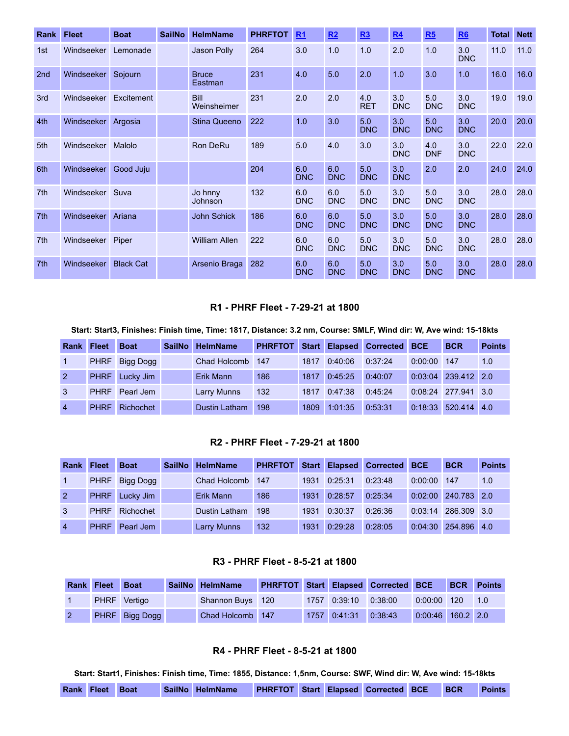| <b>Rank</b>     | <b>Fleet</b> | <b>Boat</b>      | <b>SailNo</b> | <b>HelmName</b>            | <b>PHRFTOT</b> | R <sub>1</sub>    | R2                | R3                | R <sub>4</sub>    | R5                | <b>R6</b>         | Total | <b>Nett</b> |
|-----------------|--------------|------------------|---------------|----------------------------|----------------|-------------------|-------------------|-------------------|-------------------|-------------------|-------------------|-------|-------------|
| 1st             | Windseeker   | Lemonade         |               | Jason Polly                | 264            | 3.0               | 1.0               | 1.0               | 2.0               | 1.0               | 3.0<br><b>DNC</b> | 11.0  | 11.0        |
| 2 <sub>nd</sub> | Windseeker   | Sojourn          |               | <b>Bruce</b><br>Eastman    | 231            | 4.0               | 5.0               | 2.0               | 1.0               | 3.0               | 1.0               | 16.0  | 16.0        |
| 3rd             | Windseeker   | Excitement       |               | <b>Bill</b><br>Weinsheimer | 231            | 2.0               | 2.0               | 4.0<br><b>RET</b> | 3.0<br><b>DNC</b> | 5.0<br><b>DNC</b> | 3.0<br><b>DNC</b> | 19.0  | 19.0        |
| 4th             | Windseeker   | Argosia          |               | <b>Stina Queeno</b>        | 222            | 1.0               | 3.0               | 5.0<br><b>DNC</b> | 3.0<br><b>DNC</b> | 5.0<br><b>DNC</b> | 3.0<br><b>DNC</b> | 20.0  | 20.0        |
| 5th             | Windseeker   | Malolo           |               | <b>Ron DeRu</b>            | 189            | 5.0               | 4.0               | 3.0               | 3.0<br><b>DNC</b> | 4.0<br><b>DNF</b> | 3.0<br><b>DNC</b> | 22.0  | 22.0        |
| 6th             | Windseeker   | Good Juju        |               |                            | 204            | 6.0<br><b>DNC</b> | 6.0<br><b>DNC</b> | 5.0<br><b>DNC</b> | 3.0<br><b>DNC</b> | 2.0               | 2.0               | 24.0  | 24.0        |
| 7 <sup>th</sup> | Windseeker   | Suva             |               | Jo hnny<br>Johnson         | 132            | 6.0<br><b>DNC</b> | 6.0<br><b>DNC</b> | 5.0<br><b>DNC</b> | 3.0<br><b>DNC</b> | 5.0<br><b>DNC</b> | 3.0<br><b>DNC</b> | 28.0  | 28.0        |
| 7 <sup>th</sup> | Windseeker   | Ariana           |               | <b>John Schick</b>         | 186            | 6.0<br><b>DNC</b> | 6.0<br><b>DNC</b> | 5.0<br><b>DNC</b> | 3.0<br><b>DNC</b> | 5.0<br><b>DNC</b> | 3.0<br><b>DNC</b> | 28.0  | 28.0        |
| 7th             | Windseeker   | Piper            |               | <b>William Allen</b>       | 222            | 6.0<br><b>DNC</b> | 6.0<br><b>DNC</b> | 5.0<br><b>DNC</b> | 3.0<br><b>DNC</b> | 5.0<br><b>DNC</b> | 3.0<br><b>DNC</b> | 28.0  | 28.0        |
| 7 <sup>th</sup> | Windseeker   | <b>Black Cat</b> |               | Arsenio Braga              | 282            | 6.0<br><b>DNC</b> | 6.0<br><b>DNC</b> | 5.0<br><b>DNC</b> | 3.0<br><b>DNC</b> | 5.0<br><b>DNC</b> | 3.0<br><b>DNC</b> | 28.0  | 28.0        |

## **R1 - PHRF Fleet - 7-29-21 at 1800**

#### <span id="page-1-0"></span>Start: Start3, Finishes: Finish time, Time: 1817, Distance: 3.2 nm, Course: SMLF, Wind dir: W, Ave wind: 15-18kts

| <b>Rank</b>    | <b>Fleet</b> | <b>Boat</b>    | <b>SailNo</b> | <b>HelmName</b>      | <b>PHRFTOT</b> |      |         | <b>Start Elapsed Corrected</b> | <b>BCE</b> | <b>BCR</b>    | <b>Points</b> |
|----------------|--------------|----------------|---------------|----------------------|----------------|------|---------|--------------------------------|------------|---------------|---------------|
|                | <b>PHRF</b>  | Bigg Dogg      |               | Chad Holcomb         | 147            | 1817 | 0:40:06 | 0:37:24                        | 0:00:00    | 147           | 1.0           |
| $\overline{2}$ |              | PHRF Lucky Jim |               | Erik Mann            | 186            | 1817 | 0:45:25 | 0:40:07                        | 0:03:04    | 239.412 2.0   |               |
| 3              | <b>PHRF</b>  | Pearl Jem      |               | <b>Larry Munns</b>   | 132            | 1817 | 0:47:38 | 0:45:24                        | 0.08.24    | 277.941 3.0   |               |
| $\overline{4}$ | <b>PHRF</b>  | Richochet      |               | <b>Dustin Latham</b> | 198            | 1809 | 1:01:35 | 0:53:31                        | 0:18:33    | $520.414$ 4.0 |               |

#### **R2 - PHRF Fleet - 7-29-21 at 1800**

<span id="page-1-1"></span>

| <b>Rank</b>    | <b>Fleet</b> | <b>Boat</b>    | SailNo HelmName     | <b>PHRFTOT</b> |      | <b>Start Elapsed</b> | Corrected BCE |         | <b>BCR</b>  | <b>Points</b> |
|----------------|--------------|----------------|---------------------|----------------|------|----------------------|---------------|---------|-------------|---------------|
|                | <b>PHRF</b>  | Bigg Dogg      | <b>Chad Holcomb</b> | -147           | 1931 | 0:25:31              | 0:23:48       | 0:00:00 | 147         | 1.0           |
| $\mathcal{P}$  |              | PHRF Lucky Jim | Erik Mann           | 186            | 1931 | 0:28:57              | 0:25:34       | 0:02:00 | 240.783 2.0 |               |
| 3              | <b>PHRF</b>  | Richochet      | Dustin Latham       | 198            | 1931 | 0:30:37              | 0:26:36       | 0:03:14 | 286,309 3.0 |               |
| $\overline{4}$ | <b>PHRF</b>  | Pearl Jem      | <b>Larry Munns</b>  | 132            | 1931 | 0:29:28              | 0:28:05       | 0:04:30 | 254.896 4.0 |               |

#### **R3 - PHRF Fleet - 8-5-21 at 1800**

<span id="page-1-2"></span>

| Rank Fleet | <b>Boat</b>    | SailNo HelmName         |  |                | <b>PHRFTOT Start Elapsed Corrected BCE</b> |                     | <b>BCR</b> Points |
|------------|----------------|-------------------------|--|----------------|--------------------------------------------|---------------------|-------------------|
|            | PHRF Vertigo   | <b>Shannon Buys</b> 120 |  | 1757   0:39:10 | 0:38:00                                    | $0:00:00$ 120       | 1.0               |
|            | PHRF Bigg Dogg | Chad Holcomb 147        |  | 1757 0:41:31   | 0:38:43                                    | $0.00:46$ 160.2 2.0 |                   |

## **R4 - PHRF Fleet - 8-5-21 at 1800**

<span id="page-1-3"></span>Start: Start1, Finishes: Finish time, Time: 1855, Distance: 1,5nm, Course: SWF, Wind dir: W, Ave wind: 15-18kts

|  | <b>Rank Fleet Boat</b> |  |  | SailNo HelmName |  |  |  | <b>PHRFTOT Start Elapsed Corrected BCE</b> |  | <b>BCR</b> | <b>Points</b> |
|--|------------------------|--|--|-----------------|--|--|--|--------------------------------------------|--|------------|---------------|
|--|------------------------|--|--|-----------------|--|--|--|--------------------------------------------|--|------------|---------------|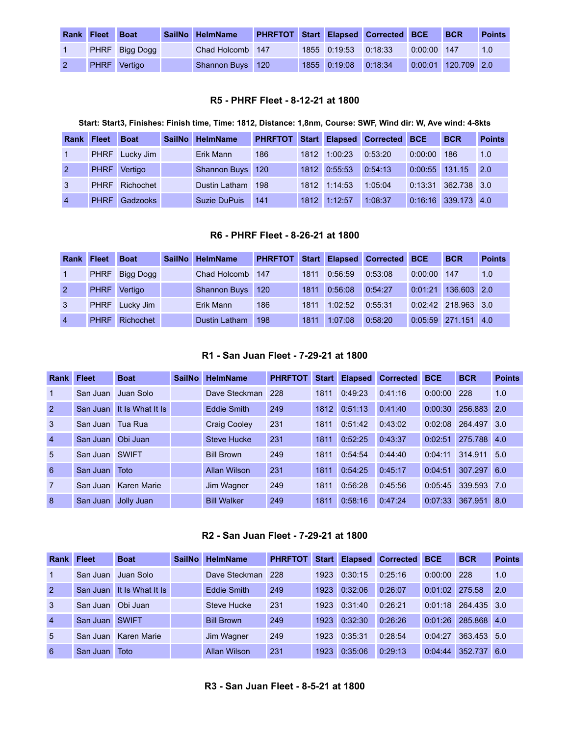| <b>Rank</b> | <b>Fleet</b> | <b>Boat</b>           | SailNo HelmName  |  |                      | <b>PHRFTOT Start Elapsed Corrected BCE</b> |               | <b>BCR</b>          | <b>Points</b> |
|-------------|--------------|-----------------------|------------------|--|----------------------|--------------------------------------------|---------------|---------------------|---------------|
|             |              | <b>PHRF</b> Bigg Dogg | Chad Holcomb 147 |  | 1855 0:19:53 0:18:33 |                                            | $0:00:00$ 147 |                     | 1.0           |
|             |              | PHRF Vertigo          | Shannon Buys 120 |  | 1855 0:19:08         | 0:18:34                                    |               | 0:00:01 120.709 2.0 |               |

## **R5 - PHRF Fleet - 8-12-21 at 1800**

## Start: Start3, Finishes: Finish time, Time: 1812, Distance: 1,8nm, Course: SWF, Wind dir: W, Ave wind: 4-8kts

<span id="page-2-0"></span>

| Rank           | <b>Fleet</b> | <b>Boat</b>    | <b>SailNo</b> | <b>HelmName</b>   | <b>PHRFTOT</b> |      |              | Start Elapsed Corrected | <b>BCE</b> | <b>BCR</b>            | <b>Points</b> |
|----------------|--------------|----------------|---------------|-------------------|----------------|------|--------------|-------------------------|------------|-----------------------|---------------|
|                |              | PHRF Lucky Jim |               | Erik Mann         | 186            | 1812 | 1:00:23      | 0:53:20                 | 0:00:00    | 186                   | 1.0           |
| 2              | <b>PHRF</b>  | Vertigo        |               | Shannon Buys 120  |                |      | 1812 0:55:53 | 0:54:13                 | 0:00:55    | 131.15                | 2.0           |
| 3              | <b>PHRF</b>  | Richochet      |               | Dustin Latham 198 |                | 1812 | 1:14:53      | 1:05:04                 |            | 0:13:31 362.738 3.0   |               |
| $\overline{4}$ | <b>PHRF</b>  | Gadzooks       |               | Suzie DuPuis      | 141            | 1812 | 1:12:57      | 1:08:37                 |            | $0:16:16$ 339.173 4.0 |               |

## **R6 - PHRF Fleet - 8-26-21 at 1800**

<span id="page-2-1"></span>

| Rank           | <b>Fleet</b> | <b>Boat</b>    | SailNo HelmName      | <b>PHRFTOT Start Elapsed Corrected</b> |      |         |         | <b>BCE</b> | <b>BCR</b>            | <b>Points</b> |
|----------------|--------------|----------------|----------------------|----------------------------------------|------|---------|---------|------------|-----------------------|---------------|
|                | <b>PHRF</b>  | Bigg Dogg      | Chad Holcomb 147     |                                        | 1811 | 0:56:59 | 0:53:08 | 0:00:00    | 147                   | 1.0           |
| $\overline{2}$ | <b>PHRF</b>  | Vertigo        | <b>Shannon Buys</b>  | 120                                    | 1811 | 0:56:08 | 0:54:27 | 0:01:21    | 136,603 2.0           |               |
| 3              |              | PHRF Lucky Jim | Erik Mann            | 186                                    | 1811 | 1:02:52 | 0:55:31 |            | 0:02:42 218.963 3.0   |               |
| $\overline{4}$ | <b>PHRF</b>  | Richochet      | <b>Dustin Latham</b> | 198                                    | 1811 | 1:07:08 | 0:58:20 |            | $0:05:59$ 271.151 4.0 |               |

## **R1 - San Juan Fleet - 7-29-21 at 1800**

<span id="page-2-2"></span>

| <b>Rank</b>     | <b>Fleet</b> | <b>Boat</b>      | <b>SailNo</b> | <b>HelmName</b>     | <b>PHRFTOT</b> | <b>Start</b> | <b>Elapsed</b> | <b>Corrected</b> | <b>BCE</b> | <b>BCR</b>  | <b>Points</b> |
|-----------------|--------------|------------------|---------------|---------------------|----------------|--------------|----------------|------------------|------------|-------------|---------------|
| $\mathbf{1}$    | San Juan     | Juan Solo        |               | Dave Steckman       | 228            | 1811         | 0:49:23        | 0:41:16          | 0:00:00    | 228         | 1.0           |
| <sup>2</sup>    | San Juan     | It Is What It Is |               | Eddie Smith         | 249            | 1812         | 0:51:13        | 0:41:40          | 0:00:30    | 256,883     | 2.0           |
| 3               | San Juan     | Tua Rua          |               | <b>Craig Cooley</b> | 231            | 1811         | 0:51:42        | 0:43:02          | 0:02:08    | 264.497     | 3.0           |
| $\overline{4}$  | San Juan     | Obi Juan         |               | <b>Steve Hucke</b>  | 231            | 1811         | 0:52:25        | 0:43:37          | 0:02:51    | 275,788     | 4.0           |
| $5\overline{)}$ | San Juan     | <b>SWIFT</b>     |               | <b>Bill Brown</b>   | 249            | 1811         | 0:54:54        | 0:44:40          | 0:04:11    | 314,911     | 5.0           |
| 6               | San Juan     | Toto             |               | <b>Allan Wilson</b> | 231            | 1811         | 0:54:25        | 0:45:17          | 0:04:51    | 307.297     | 6.0           |
| $\overline{7}$  | San Juan     | Karen Marie      |               | Jim Wagner          | 249            | 1811         | 0:56:28        | 0:45:56          | 0:05:45    | 339.593 7.0 |               |
| 8               | San Juan     | Jolly Juan       |               | <b>Bill Walker</b>  | 249            | 1811         | 0:58:16        | 0:47:24          | 0:07:33    | 367.951     | 8.0           |

#### **R2 - San Juan Fleet - 7-29-21 at 1800**

<span id="page-2-4"></span><span id="page-2-3"></span>

| Rank           | <b>Fleet</b> | <b>Boat</b>      | <b>SailNo</b> | <b>HelmName</b>    | <b>PHRFTOT</b> | <b>Start</b> | <b>Elapsed</b> | Corrected | <b>BCE</b> | <b>BCR</b>  | <b>Points</b> |
|----------------|--------------|------------------|---------------|--------------------|----------------|--------------|----------------|-----------|------------|-------------|---------------|
| $\overline{1}$ | San Juan     | Juan Solo        |               | Dave Steckman      | -228           | 1923         | 0:30:15        | 0:25:16   | 0:00:00    | 228         | 1.0           |
| 2              | San Juan     | It is What It is |               | <b>Eddie Smith</b> | 249            | 1923         | 0:32:06        | 0:26:07   | 0:01:02    | 275.58      | 2.0           |
| $\mathbf{3}$   | San Juan     | Obi Juan         |               | Steve Hucke        | 231            | 1923         | 0:31:40        | 0:26:21   | 0:01:18    | 264.435 3.0 |               |
| $\overline{4}$ | San Juan     | <b>SWIFT</b>     |               | <b>Bill Brown</b>  | 249            | 1923         | 0:32:30        | 0:26:26   | 0:01:26    | 285.868 4.0 |               |
| $5^{\circ}$    | San Juan     | Karen Marie      |               | Jim Wagner         | 249            | 1923         | 0:35:31        | 0:28:54   | 0:04:27    | 363.453 5.0 |               |
| 6              | San Juan     | Toto             |               | Allan Wilson       | 231            | 1923         | 0:35:06        | 0:29:13   | 0:04:44    | 352.737     | 6.0           |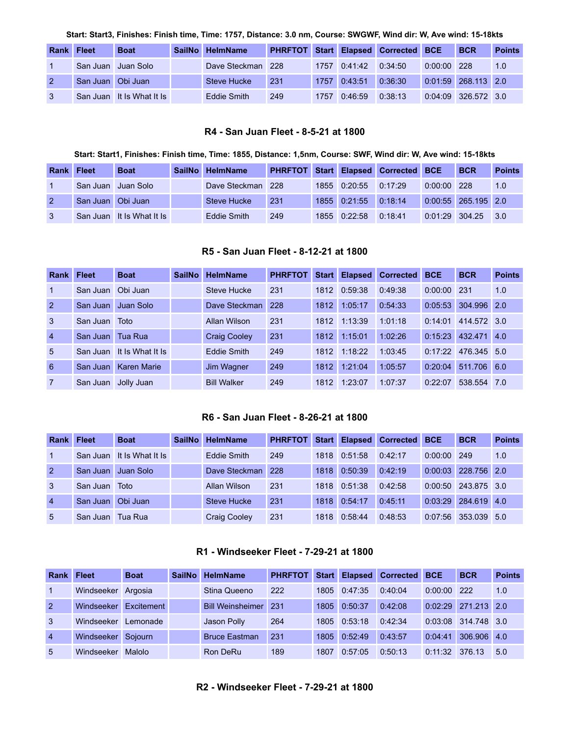Start: Start3, Finishes: Finish time, Time: 1757, Distance: 3.0 nm, Course: SWGWF, Wind dir: W, Ave wind: 15-18kts

| Rank | <b>Fleet</b>      | <b>Boat</b>               | <b>SailNo</b> | <b>HelmName</b>    |     |      |         | <b>PHRFTOT Start Elapsed Corrected BCE</b> |               | <b>BCR</b>            | <b>Points</b> |
|------|-------------------|---------------------------|---------------|--------------------|-----|------|---------|--------------------------------------------|---------------|-----------------------|---------------|
|      |                   | San Juan I Juan Solo      |               | Dave Steckman      | 228 | 1757 | 0.41:42 | 0:34:50                                    | $0:00:00$ 228 |                       | 1.0           |
|      | San Juan Obi Juan |                           |               | Steve Hucke        | 231 | 1757 | 0:43:51 | 0:36:30                                    |               | $0:01:59$ 268.113 2.0 |               |
|      |                   | San Juan It Is What It Is |               | <b>Eddie Smith</b> | 249 | 1757 | 0:46:59 | 0:38:13                                    |               | 0:04:09 326.572 3.0   |               |

#### **R4 - San Juan Fleet - 8-5-21 at 1800**

#### Start: Start1, Finishes: Finish time, Time: 1855, Distance: 1,5nm, Course: SWF, Wind dir: W, Ave wind: 15-18kts

<span id="page-3-0"></span>

| <b>Rank</b> | <b>Fleet</b>      | <b>Boat</b>               | SailNo HelmName   | <b>PHRFTOT</b> |              | <b>Start Elapsed Corrected BCE</b> |               | <b>BCR</b>            | <b>Points</b> |
|-------------|-------------------|---------------------------|-------------------|----------------|--------------|------------------------------------|---------------|-----------------------|---------------|
|             |                   | San Juan Juan Solo        | Dave Steckman 228 |                | 1855 0:20:55 | 0:17:29                            | $0:00:00$ 228 |                       | 1.0           |
|             | San Juan Obi Juan |                           | Steve Hucke       | 231            | 1855 0:21:55 | 0:18:14                            |               | $0:00:55$ 265.195 2.0 |               |
|             |                   | San Juan It Is What It Is | Eddie Smith       | 249            | 1855 0:22:58 | 0:18:41                            |               | $0:01:29$ 304.25 3.0  |               |

## **R5 - San Juan Fleet - 8-12-21 at 1800**

<span id="page-3-1"></span>

| <b>Rank</b>     | <b>Fleet</b> | <b>Boat</b>        | <b>SailNo</b> | <b>HelmName</b>     | <b>PHRFTOT</b> | <b>Start</b> | <b>Elapsed</b> | <b>Corrected</b> | <b>BCE</b> | <b>BCR</b>  | <b>Points</b> |
|-----------------|--------------|--------------------|---------------|---------------------|----------------|--------------|----------------|------------------|------------|-------------|---------------|
| $\overline{1}$  | San Juan     | Obi Juan           |               | <b>Steve Hucke</b>  | 231            | 1812         | 0:59:38        | 0:49:38          | 0:00:00    | 231         | 1.0           |
| $\overline{2}$  | San Juan     | Juan Solo          |               | Dave Steckman       | -228           | 1812         | 1:05:17        | 0:54:33          | 0:05:53    | 304.996 2.0 |               |
| 3               | San Juan     | Toto               |               | Allan Wilson        | 231            | 1812         | 1:13:39        | 1:01:18          | 0:14:01    | 414.572 3.0 |               |
| $\overline{4}$  | San Juan     | Tua Rua            |               | <b>Craig Cooley</b> | 231            | 1812         | 1:15:01        | 1:02:26          | 0:15:23    | 432.471 4.0 |               |
| $5\overline{)}$ | San Juan     | It Is What It Is   |               | Eddie Smith         | 249            | 1812         | 1:18:22        | 1:03:45          | 0:17:22    | 476.345 5.0 |               |
| 6               | San Juan     | <b>Karen Marie</b> |               | Jim Wagner          | 249            | 1812         | 1:21:04        | 1:05:57          | 0:20:04    | 511.706     | 6.0           |
| $\overline{7}$  | San Juan     | Jolly Juan         |               | <b>Bill Walker</b>  | 249            | 1812         | 1:23:07        | 1:07:37          | 0:22:07    | 538.554 7.0 |               |

#### **R6 - San Juan Fleet - 8-26-21 at 1800**

<span id="page-3-2"></span>

| <b>Rank</b>    | <b>Fleet</b> | <b>Boat</b>      | <b>SailNo</b> | <b>HelmName</b>     | <b>PHRFTOT</b> | Start | <b>Elapsed</b> | <b>Corrected</b> | <b>BCE</b> | <b>BCR</b>  | <b>Points</b> |
|----------------|--------------|------------------|---------------|---------------------|----------------|-------|----------------|------------------|------------|-------------|---------------|
|                | San Juan     | It Is What It Is |               | <b>Eddie Smith</b>  | 249            | 1818  | 0:51:58        | 0:42:17          | 0:00:00    | 249         | 1.0           |
| $\mathcal{P}$  | San Juan     | Juan Solo        |               | Dave Steckman       | 228            | 1818  | 0:50:39        | 0:42:19          | 0:00:03    | 228,756 2.0 |               |
| 3              | San Juan     | Toto             |               | Allan Wilson        | 231            | 1818  | 0.51.38        | 0:42:58          | 0:00:50    | 243.875 3.0 |               |
| $\overline{4}$ | San Juan     | Obi Juan         |               | <b>Steve Hucke</b>  | 231            | 1818  | 0:54:17        | 0:45:11          | 0:03:29    | 284.619 4.0 |               |
| 5              | San Juan     | Tua Rua          |               | <b>Craig Cooley</b> | 231            | 1818  | 0:58:44        | 0:48:53          | 0:07:56    | 353.039 5.0 |               |

## **R1 - Windseeker Fleet - 7-29-21 at 1800**

<span id="page-3-4"></span><span id="page-3-3"></span>

| Rank           | <b>Fleet</b>       | <b>Boat</b> | <b>SailNo</b> | <b>HelmName</b>         | <b>PHRFTOT</b> |      |         | <b>Start Elapsed Corrected BCE</b> |         | <b>BCR</b>  | <b>Points</b> |
|----------------|--------------------|-------------|---------------|-------------------------|----------------|------|---------|------------------------------------|---------|-------------|---------------|
|                | Windseeker Argosia |             |               | Stina Queeno            | 222            | 1805 | 0:47:35 | 0:40:04                            | 0:00:00 | 222         | 1.0           |
| $\overline{2}$ | Windseeker         | Excitement  |               | <b>Bill Weinsheimer</b> | -231           | 1805 | 0:50:37 | 0:42:08                            | 0:02:29 | 271.213 2.0 |               |
| 3              | Windseeker         | Lemonade    |               | Jason Polly             | 264            | 1805 | 0:53:18 | 0.42.34                            | 0:03:08 | 314,748 3.0 |               |
| $\overline{4}$ | Windseeker         | Soiourn     |               | <b>Bruce Eastman</b>    | 231            | 1805 | 0:52:49 | 0:43:57                            | 0:04:41 | 306.906 4.0 |               |
| 5              | Windseeker         | Malolo      |               | Ron DeRu                | 189            | 1807 | 0:57:05 | 0:50:13                            | 0:11:32 | 376.13      | 5.0           |